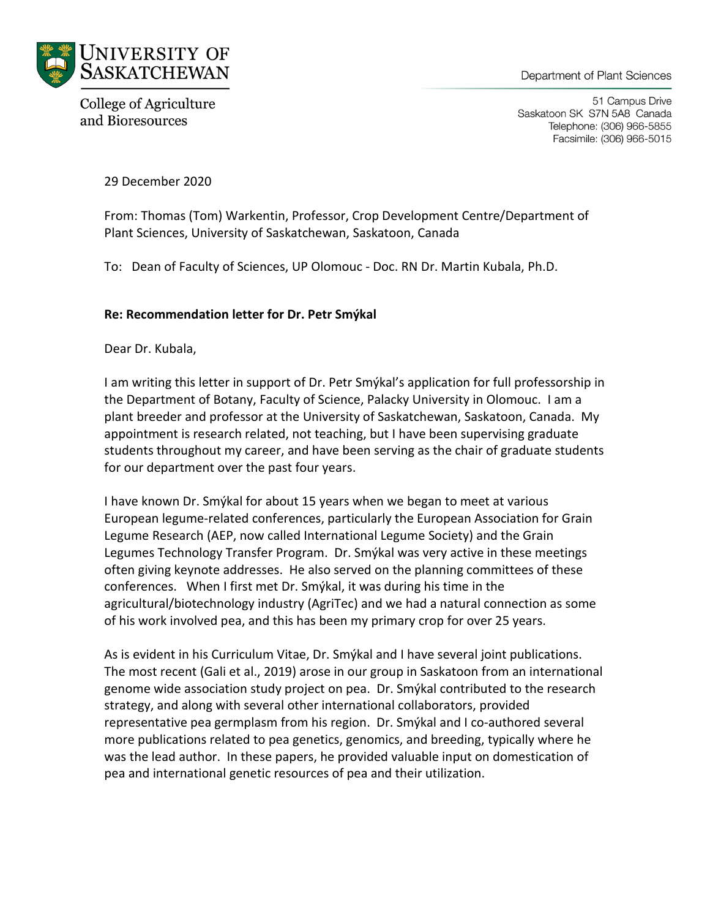

College of Agriculture and Bioresources

51 Campus Drive Saskatoon SK S7N 5A8 Canada Telephone: (306) 966-5855 Facsimile: (306) 966-5015

29 December 2020

From: Thomas (Tom) Warkentin, Professor, Crop Development Centre/Department of Plant Sciences, University of Saskatchewan, Saskatoon, Canada

To: Dean of Faculty of Sciences, UP Olomouc - Doc. RN Dr. Martin Kubala, Ph.D.

## **Re: Recommendation letter for Dr. Petr Smýkal**

Dear Dr. Kubala,

I am writing this letter in support of Dr. Petr Smýkal's application for full professorship in the Department of Botany, Faculty of Science, Palacky University in Olomouc. I am a plant breeder and professor at the University of Saskatchewan, Saskatoon, Canada. My appointment is research related, not teaching, but I have been supervising graduate students throughout my career, and have been serving as the chair of graduate students for our department over the past four years.

I have known Dr. Smýkal for about 15 years when we began to meet at various European legume-related conferences, particularly the European Association for Grain Legume Research (AEP, now called International Legume Society) and the Grain Legumes Technology Transfer Program. Dr. Smýkal was very active in these meetings often giving keynote addresses. He also served on the planning committees of these conferences. When I first met Dr. Smýkal, it was during his time in the agricultural/biotechnology industry (AgriTec) and we had a natural connection as some of his work involved pea, and this has been my primary crop for over 25 years.

As is evident in his Curriculum Vitae, Dr. Smýkal and I have several joint publications. The most recent (Gali et al., 2019) arose in our group in Saskatoon from an international genome wide association study project on pea. Dr. Smýkal contributed to the research strategy, and along with several other international collaborators, provided representative pea germplasm from his region. Dr. Smýkal and I co-authored several more publications related to pea genetics, genomics, and breeding, typically where he was the lead author. In these papers, he provided valuable input on domestication of pea and international genetic resources of pea and their utilization.